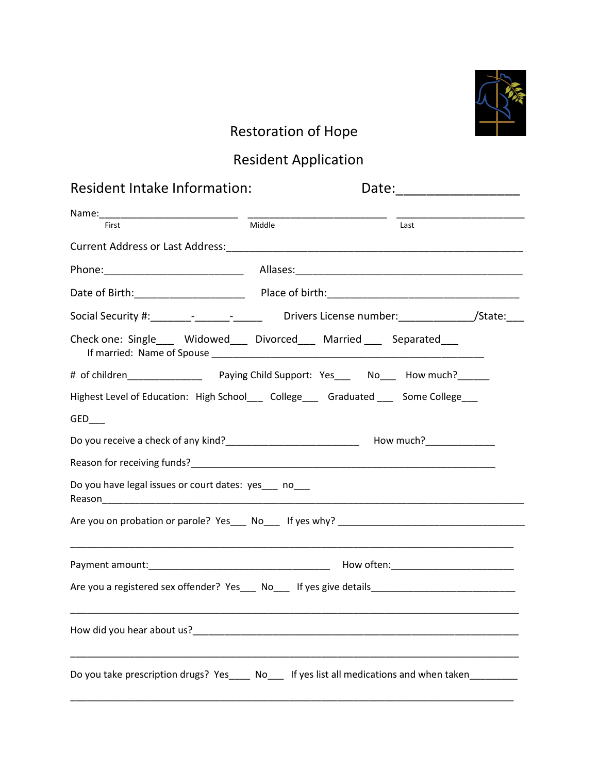

## Restoration of Hope

## Resident Application

| Resident Intake Information:                                                                                                                                                                                                            | Date: ___________________                                                                                             |      |
|-----------------------------------------------------------------------------------------------------------------------------------------------------------------------------------------------------------------------------------------|-----------------------------------------------------------------------------------------------------------------------|------|
| Name: First Middle                                                                                                                                                                                                                      |                                                                                                                       |      |
|                                                                                                                                                                                                                                         |                                                                                                                       | Last |
|                                                                                                                                                                                                                                         |                                                                                                                       |      |
|                                                                                                                                                                                                                                         |                                                                                                                       |      |
|                                                                                                                                                                                                                                         |                                                                                                                       |      |
| Social Security #:________-_____________________Drivers License number:_______________/State:____                                                                                                                                       |                                                                                                                       |      |
| Check one: Single____ Widowed___ Divorced___ Married ___ Separated___                                                                                                                                                                   |                                                                                                                       |      |
|                                                                                                                                                                                                                                         |                                                                                                                       |      |
| Highest Level of Education: High School___ College___ Graduated ___ Some College___                                                                                                                                                     |                                                                                                                       |      |
| GED                                                                                                                                                                                                                                     |                                                                                                                       |      |
| Do you receive a check of any kind?<br><u> Letting and a serial control</u> and much?<br>Letting and the much a serial control of the control of any kind of any kind of the control of the serial control of the serial control of the |                                                                                                                       |      |
|                                                                                                                                                                                                                                         |                                                                                                                       |      |
| Do you have legal issues or court dates: yes___ no___                                                                                                                                                                                   |                                                                                                                       |      |
|                                                                                                                                                                                                                                         |                                                                                                                       |      |
|                                                                                                                                                                                                                                         | <u> Liste de la construcción de la construcción de la construcción de la construcción de la construcción de la co</u> |      |
|                                                                                                                                                                                                                                         |                                                                                                                       |      |
| Are you a registered sex offender? Yes___ No___ If yes give details________________________________                                                                                                                                     |                                                                                                                       |      |
|                                                                                                                                                                                                                                         |                                                                                                                       |      |
| Do you take prescription drugs? Yes____ No___ If yes list all medications and when taken________                                                                                                                                        |                                                                                                                       |      |